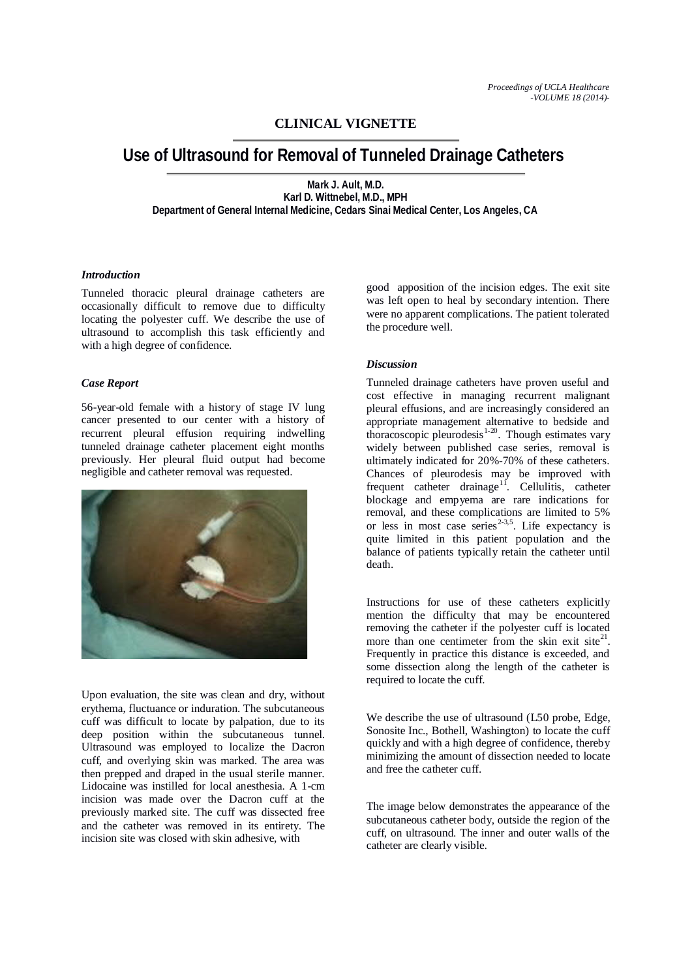## **CLINICAL VIGNETTE**

# **Use of Ultrasound for Removal of Tunneled Drainage Catheters**

**Mark J. Ault, M.D. Karl D. Wittnebel, M.D., MPH Department of General Internal Medicine, Cedars Sinai Medical Center, Los Angeles, CA**

#### *Introduction*

Tunneled thoracic pleural drainage catheters are occasionally difficult to remove due to difficulty locating the polyester cuff. We describe the use of ultrasound to accomplish this task efficiently and with a high degree of confidence.

#### *Case Report*

56-year-old female with a history of stage IV lung cancer presented to our center with a history of recurrent pleural effusion requiring indwelling tunneled drainage catheter placement eight months previously. Her pleural fluid output had become negligible and catheter removal was requested.



Upon evaluation, the site was clean and dry, without erythema, fluctuance or induration. The subcutaneous cuff was difficult to locate by palpation, due to its deep position within the subcutaneous tunnel. Ultrasound was employed to localize the Dacron cuff, and overlying skin was marked. The area was then prepped and draped in the usual sterile manner. Lidocaine was instilled for local anesthesia. A 1-cm incision was made over the Dacron cuff at the previously marked site. The cuff was dissected free and the catheter was removed in its entirety. The incision site was closed with skin adhesive, with

good apposition of the incision edges. The exit site was left open to heal by secondary intention. There were no apparent complications. The patient tolerated the procedure well.

### *Discussion*

Tunneled drainage catheters have proven useful and cost effective in managing recurrent malignant pleural effusions, and are increasingly considered an appropriate management alternative to bedside and thoracoscopic pleurodesis $1-20$ . Though estimates vary widely between published case series, removal is ultimately indicated for 20%-70% of these catheters. Chances of pleurodesis may be improved with frequent catheter drainage<sup>11</sup>. Cellulitis, catheter blockage and empyema are rare indications for removal, and these complications are limited to 5% or less in most case series<sup>2-3,5</sup>. Life expectancy is quite limited in this patient population and the balance of patients typically retain the catheter until death.

Instructions for use of these catheters explicitly mention the difficulty that may be encountered removing the catheter if the polyester cuff is located more than one centimeter from the skin exit site $^{21}$ . Frequently in practice this distance is exceeded, and some dissection along the length of the catheter is required to locate the cuff.

We describe the use of ultrasound (L50 probe, Edge, Sonosite Inc., Bothell, Washington) to locate the cuff quickly and with a high degree of confidence, thereby minimizing the amount of dissection needed to locate and free the catheter cuff.

The image below demonstrates the appearance of the subcutaneous catheter body, outside the region of the cuff, on ultrasound. The inner and outer walls of the catheter are clearly visible.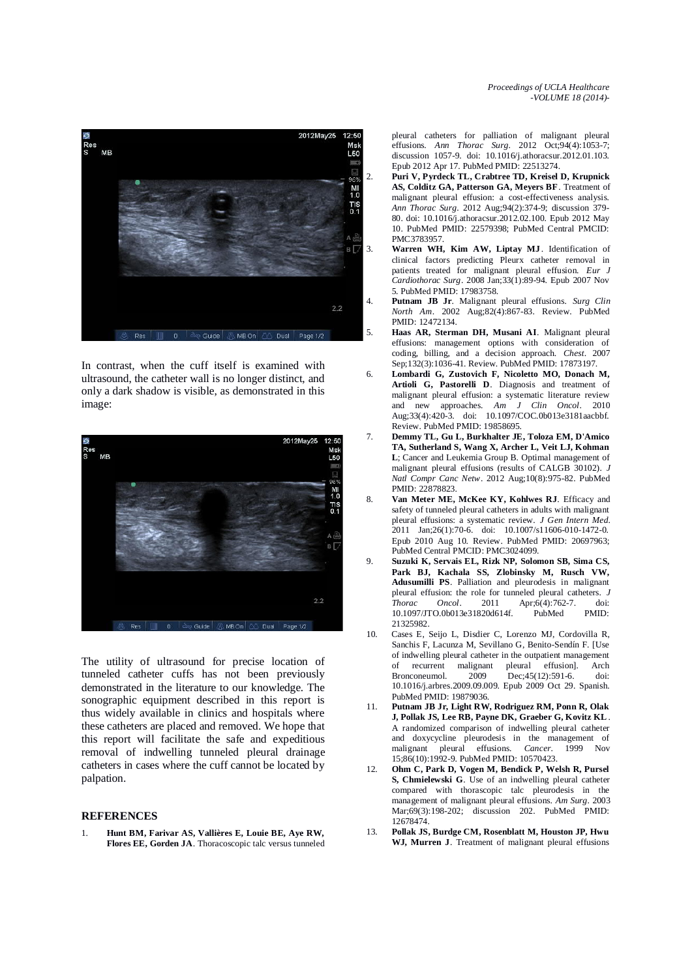

In contrast, when the cuff itself is examined with ultrasound, the catheter wall is no longer distinct, and only a dark shadow is visible, as demonstrated in this image:



The utility of ultrasound for precise location of tunneled catheter cuffs has not been previously demonstrated in the literature to our knowledge. The sonographic equipment described in this report is thus widely available in clinics and hospitals where these catheters are placed and removed. We hope that this report will facilitate the safe and expeditious removal of indwelling tunneled pleural drainage catheters in cases where the cuff cannot be located by palpation.

#### **REFERENCES**

1. **Hunt BM, Farivar AS, Vallières E, Louie BE, Aye RW, Flores EE, Gorden JA**. Thoracoscopic talc versus tunneled pleural catheters for palliation of malignant pleural effusions. *Ann Thorac Surg*. 2012 Oct;94(4):1053-7; discussion 1057-9. doi: 10.1016/j.athoracsur.2012.01.103. Epub 2012 Apr 17. PubMed PMID: 22513274.

- 2. **Puri V, Pyrdeck TL, Crabtree TD, Kreisel D, Krupnick AS, Colditz GA, Patterson GA, Meyers BF**. Treatment of malignant pleural effusion: a cost-effectiveness analysis. *Ann Thorac Surg*. 2012 Aug;94(2):374-9; discussion 379- 80. doi: 10.1016/j.athoracsur.2012.02.100. Epub 2012 May 10. PubMed PMID: 22579398; PubMed Central PMCID: PMC3783957.
- 3. **Warren WH, Kim AW, Liptay MJ** . Identification of clinical factors predicting Pleurx catheter removal in patients treated for malignant pleural effusion. *Eur J Cardiothorac Surg*. 2008 Jan;33(1):89-94. Epub 2007 Nov 5. PubMed PMID: 17983758.
- 4. **Putnam JB Jr**. Malignant pleural effusions. *Surg Clin North Am*. 2002 Aug;82(4):867-83. Review. PubMed PMID: 12472134.
- 5. **Haas AR, Sterman DH, Musani AI**. Malignant pleural effusions: management options with consideration of coding, billing, and a decision approach. *Chest*. 2007 Sep;132(3):1036-41. Review. PubMed PMID: 17873197.
- 6. **Lombardi G, Zustovich F, Nicoletto MO, Donach M, Artioli G, Pastorelli D**. Diagnosis and treatment of malignant pleural effusion: a systematic literature review and new approaches. *Am J Clin Oncol*. 2010 Aug;33(4):420-3. doi: 10.1097/COC.0b013e3181aacbbf. Review. PubMed PMID: 19858695.
- 7. **Demmy TL, Gu L, Burkhalter JE, Toloza EM, D'Amico TA, Sutherland S, Wang X, Archer L, Veit LJ, Kohman L**; Cancer and Leukemia Group B. Optimal management of malignant pleural effusions (results of CALGB 30102). *J Natl Compr Canc Netw*. 2012 Aug;10(8):975-82. PubMed PMID: 22878823.
- 8. **Van Meter ME, McKee KY, Kohlwes RJ**. Efficacy and safety of tunneled pleural catheters in adults with malignant pleural effusions: a systematic review. *J Gen Intern Med*. 2011 Jan;26(1):70-6. doi: 10.1007/s11606-010-1472-0. Epub 2010 Aug 10. Review. PubMed PMID: 20697963; PubMed Central PMCID: PMC3024099.
- 9. **Suzuki K, Servais EL, Rizk NP, Solomon SB, Sima CS, Park BJ, Kachala SS, Zlobinsky M, Rusch VW, Adusumilli PS**. Palliation and pleurodesis in malignant pleural effusion: the role for tunneled pleural catheters. *J*<br>*Thorac Oncol*. 2011 Apr:6(4):762-7. doi: Apr;6(4):762-7. 10.1097/JTO.0b013e31820d614f. PubMed PMID: 21325982.
- 10. Cases E, Seijo L, Disdier C, Lorenzo MJ, Cordovilla R, Sanchis F, Lacunza M, Sevillano G, Benito-Sendín F. [Use of indwelling pleural catheter in the outpatient management of recurrent malignant pleural effusion]. Arch Bronconeumol. 2009 Dec;45(12):591-6. doi: 10.1016/j.arbres.2009.09.009. Epub 2009 Oct 29. Spanish. PubMed PMID: 19879036.
- 11. **Putnam JB Jr, Light RW, Rodriguez RM, Ponn R, Olak J, Pollak JS, Lee RB, Payne DK, Graeber G, Kovitz KL** . A randomized comparison of indwelling pleural catheter and doxycycline pleurodesis in the management of malignant pleural effusions Cancer 1999 Nov malignant pleural effusions. *Cancer*. 1999 Nov 15;86(10):1992-9. PubMed PMID: 10570423.
- 12. **Ohm C, Park D, Vogen M, Bendick P, Welsh R, Pursel S, Chmielewski G**. Use of an indwelling pleural catheter compared with thorascopic talc pleurodesis in the management of malignant pleural effusions. *Am Surg*. 2003 Mar;69(3):198-202; discussion 202. PubMed PMID: 12678474.
- 13. **Pollak JS, Burdge CM, Rosenblatt M, Houston JP, Hwu WJ, Murren J**. Treatment of malignant pleural effusions